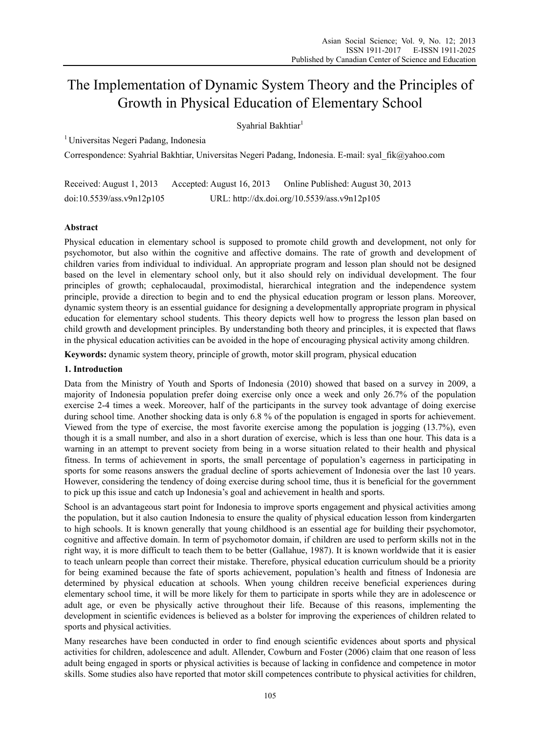# The Implementation of Dynamic System Theory and the Principles of Growth in Physical Education of Elementary School

Syahrial Bakhtiar<sup>1</sup>

1 Universitas Negeri Padang, Indonesia

Correspondence: Syahrial Bakhtiar, Universitas Negeri Padang, Indonesia. E-mail: syal\_fik@yahoo.com

Received: August 1, 2013 Accepted: August 16, 2013 Online Published: August 30, 2013 doi:10.5539/ass.v9n12p105 URL: http://dx.doi.org/10.5539/ass.v9n12p105

# **Abstract**

Physical education in elementary school is supposed to promote child growth and development, not only for psychomotor, but also within the cognitive and affective domains. The rate of growth and development of children varies from individual to individual. An appropriate program and lesson plan should not be designed based on the level in elementary school only, but it also should rely on individual development. The four principles of growth; cephalocaudal, proximodistal, hierarchical integration and the independence system principle, provide a direction to begin and to end the physical education program or lesson plans. Moreover, dynamic system theory is an essential guidance for designing a developmentally appropriate program in physical education for elementary school students. This theory depicts well how to progress the lesson plan based on child growth and development principles. By understanding both theory and principles, it is expected that flaws in the physical education activities can be avoided in the hope of encouraging physical activity among children.

**Keywords:** dynamic system theory, principle of growth, motor skill program, physical education

# **1. Introduction**

Data from the Ministry of Youth and Sports of Indonesia (2010) showed that based on a survey in 2009, a majority of Indonesia population prefer doing exercise only once a week and only 26.7% of the population exercise 2-4 times a week. Moreover, half of the participants in the survey took advantage of doing exercise during school time. Another shocking data is only 6.8 % of the population is engaged in sports for achievement. Viewed from the type of exercise, the most favorite exercise among the population is jogging (13.7%), even though it is a small number, and also in a short duration of exercise, which is less than one hour. This data is a warning in an attempt to prevent society from being in a worse situation related to their health and physical fitness. In terms of achievement in sports, the small percentage of population's eagerness in participating in sports for some reasons answers the gradual decline of sports achievement of Indonesia over the last 10 years. However, considering the tendency of doing exercise during school time, thus it is beneficial for the government to pick up this issue and catch up Indonesia's goal and achievement in health and sports.

School is an advantageous start point for Indonesia to improve sports engagement and physical activities among the population, but it also caution Indonesia to ensure the quality of physical education lesson from kindergarten to high schools. It is known generally that young childhood is an essential age for building their psychomotor, cognitive and affective domain. In term of psychomotor domain, if children are used to perform skills not in the right way, it is more difficult to teach them to be better (Gallahue, 1987). It is known worldwide that it is easier to teach unlearn people than correct their mistake. Therefore, physical education curriculum should be a priority for being examined because the fate of sports achievement, population's health and fitness of Indonesia are determined by physical education at schools. When young children receive beneficial experiences during elementary school time, it will be more likely for them to participate in sports while they are in adolescence or adult age, or even be physically active throughout their life. Because of this reasons, implementing the development in scientific evidences is believed as a bolster for improving the experiences of children related to sports and physical activities.

Many researches have been conducted in order to find enough scientific evidences about sports and physical activities for children, adolescence and adult. Allender, Cowburn and Foster (2006) claim that one reason of less adult being engaged in sports or physical activities is because of lacking in confidence and competence in motor skills. Some studies also have reported that motor skill competences contribute to physical activities for children,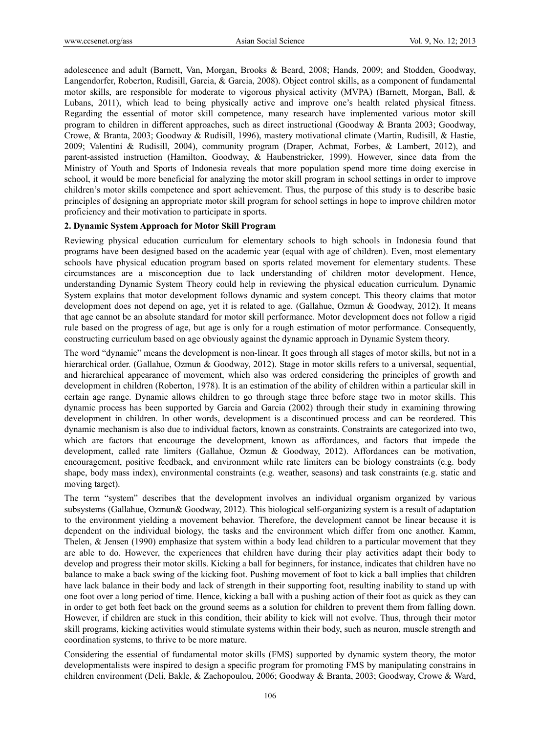adolescence and adult (Barnett, Van, Morgan, Brooks & Beard, 2008; Hands, 2009; and Stodden, Goodway, Langendorfer, Roberton, Rudisill, Garcia, & Garcia, 2008). Object control skills, as a component of fundamental motor skills, are responsible for moderate to vigorous physical activity (MVPA) (Barnett, Morgan, Ball, & Lubans, 2011), which lead to being physically active and improve one's health related physical fitness. Regarding the essential of motor skill competence, many research have implemented various motor skill program to children in different approaches, such as direct instructional (Goodway & Branta 2003; Goodway, Crowe, & Branta, 2003; Goodway & Rudisill, 1996), mastery motivational climate (Martin, Rudisill, & Hastie, 2009; Valentini & Rudisill, 2004), community program (Draper, Achmat, Forbes, & Lambert, 2012), and parent-assisted instruction (Hamilton, Goodway, & Haubenstricker, 1999). However, since data from the Ministry of Youth and Sports of Indonesia reveals that more population spend more time doing exercise in school, it would be more beneficial for analyzing the motor skill program in school settings in order to improve children's motor skills competence and sport achievement. Thus, the purpose of this study is to describe basic principles of designing an appropriate motor skill program for school settings in hope to improve children motor proficiency and their motivation to participate in sports.

## **2. Dynamic System Approach for Motor Skill Program**

Reviewing physical education curriculum for elementary schools to high schools in Indonesia found that programs have been designed based on the academic year (equal with age of children). Even, most elementary schools have physical education program based on sports related movement for elementary students. These circumstances are a misconception due to lack understanding of children motor development. Hence, understanding Dynamic System Theory could help in reviewing the physical education curriculum. Dynamic System explains that motor development follows dynamic and system concept. This theory claims that motor development does not depend on age, yet it is related to age. (Gallahue, Ozmun & Goodway, 2012). It means that age cannot be an absolute standard for motor skill performance. Motor development does not follow a rigid rule based on the progress of age, but age is only for a rough estimation of motor performance. Consequently, constructing curriculum based on age obviously against the dynamic approach in Dynamic System theory.

The word "dynamic" means the development is non-linear. It goes through all stages of motor skills, but not in a hierarchical order. (Gallahue, Ozmun & Goodway, 2012). Stage in motor skills refers to a universal, sequential, and hierarchical appearance of movement, which also was ordered considering the principles of growth and development in children (Roberton, 1978). It is an estimation of the ability of children within a particular skill in certain age range. Dynamic allows children to go through stage three before stage two in motor skills. This dynamic process has been supported by Garcia and Garcia (2002) through their study in examining throwing development in children. In other words, development is a discontinued process and can be reordered. This dynamic mechanism is also due to individual factors, known as constraints. Constraints are categorized into two, which are factors that encourage the development, known as affordances, and factors that impede the development, called rate limiters (Gallahue, Ozmun & Goodway, 2012). Affordances can be motivation, encouragement, positive feedback, and environment while rate limiters can be biology constraints (e.g. body shape, body mass index), environmental constraints (e.g. weather, seasons) and task constraints (e.g. static and moving target).

The term "system" describes that the development involves an individual organism organized by various subsystems (Gallahue, Ozmun& Goodway, 2012). This biological self-organizing system is a result of adaptation to the environment yielding a movement behavior. Therefore, the development cannot be linear because it is dependent on the individual biology, the tasks and the environment which differ from one another. Kamm, Thelen, & Jensen (1990) emphasize that system within a body lead children to a particular movement that they are able to do. However, the experiences that children have during their play activities adapt their body to develop and progress their motor skills. Kicking a ball for beginners, for instance, indicates that children have no balance to make a back swing of the kicking foot. Pushing movement of foot to kick a ball implies that children have lack balance in their body and lack of strength in their supporting foot, resulting inability to stand up with one foot over a long period of time. Hence, kicking a ball with a pushing action of their foot as quick as they can in order to get both feet back on the ground seems as a solution for children to prevent them from falling down. However, if children are stuck in this condition, their ability to kick will not evolve. Thus, through their motor skill programs, kicking activities would stimulate systems within their body, such as neuron, muscle strength and coordination systems, to thrive to be more mature.

Considering the essential of fundamental motor skills (FMS) supported by dynamic system theory, the motor developmentalists were inspired to design a specific program for promoting FMS by manipulating constrains in children environment (Deli, Bakle, & Zachopoulou, 2006; Goodway & Branta, 2003; Goodway, Crowe & Ward,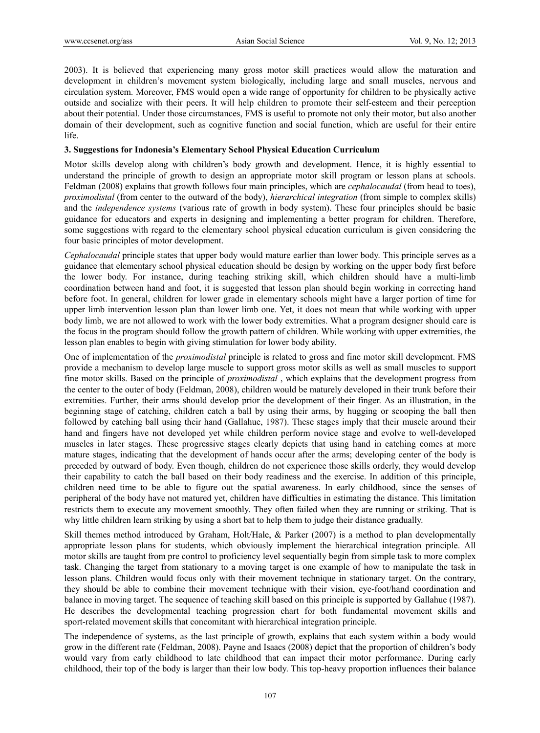2003). It is believed that experiencing many gross motor skill practices would allow the maturation and development in children's movement system biologically, including large and small muscles, nervous and circulation system. Moreover, FMS would open a wide range of opportunity for children to be physically active outside and socialize with their peers. It will help children to promote their self-esteem and their perception about their potential. Under those circumstances, FMS is useful to promote not only their motor, but also another domain of their development, such as cognitive function and social function, which are useful for their entire life.

## **3. Suggestions for Indonesia's Elementary School Physical Education Curriculum**

Motor skills develop along with children's body growth and development. Hence, it is highly essential to understand the principle of growth to design an appropriate motor skill program or lesson plans at schools. Feldman (2008) explains that growth follows four main principles, which are *cephalocaudal* (from head to toes), *proximodistal* (from center to the outward of the body), *hierarchical integration* (from simple to complex skills) and the *independence systems* (various rate of growth in body system). These four principles should be basic guidance for educators and experts in designing and implementing a better program for children. Therefore, some suggestions with regard to the elementary school physical education curriculum is given considering the four basic principles of motor development.

*Cephalocaudal* principle states that upper body would mature earlier than lower body. This principle serves as a guidance that elementary school physical education should be design by working on the upper body first before the lower body. For instance, during teaching striking skill, which children should have a multi-limb coordination between hand and foot, it is suggested that lesson plan should begin working in correcting hand before foot. In general, children for lower grade in elementary schools might have a larger portion of time for upper limb intervention lesson plan than lower limb one. Yet, it does not mean that while working with upper body limb, we are not allowed to work with the lower body extremities. What a program designer should care is the focus in the program should follow the growth pattern of children. While working with upper extremities, the lesson plan enables to begin with giving stimulation for lower body ability.

One of implementation of the *proximodistal* principle is related to gross and fine motor skill development. FMS provide a mechanism to develop large muscle to support gross motor skills as well as small muscles to support fine motor skills. Based on the principle of *proximodistal* , which explains that the development progress from the center to the outer of body (Feldman, 2008), children would be maturely developed in their trunk before their extremities. Further, their arms should develop prior the development of their finger. As an illustration, in the beginning stage of catching, children catch a ball by using their arms, by hugging or scooping the ball then followed by catching ball using their hand (Gallahue, 1987). These stages imply that their muscle around their hand and fingers have not developed yet while children perform novice stage and evolve to well-developed muscles in later stages. These progressive stages clearly depicts that using hand in catching comes at more mature stages, indicating that the development of hands occur after the arms; developing center of the body is preceded by outward of body. Even though, children do not experience those skills orderly, they would develop their capability to catch the ball based on their body readiness and the exercise. In addition of this principle, children need time to be able to figure out the spatial awareness. In early childhood, since the senses of peripheral of the body have not matured yet, children have difficulties in estimating the distance. This limitation restricts them to execute any movement smoothly. They often failed when they are running or striking. That is why little children learn striking by using a short bat to help them to judge their distance gradually.

Skill themes method introduced by Graham, Holt/Hale, & Parker (2007) is a method to plan developmentally appropriate lesson plans for students, which obviously implement the hierarchical integration principle. All motor skills are taught from pre control to proficiency level sequentially begin from simple task to more complex task. Changing the target from stationary to a moving target is one example of how to manipulate the task in lesson plans. Children would focus only with their movement technique in stationary target. On the contrary, they should be able to combine their movement technique with their vision, eye-foot/hand coordination and balance in moving target. The sequence of teaching skill based on this principle is supported by Gallahue (1987). He describes the developmental teaching progression chart for both fundamental movement skills and sport-related movement skills that concomitant with hierarchical integration principle.

The independence of systems, as the last principle of growth, explains that each system within a body would grow in the different rate (Feldman, 2008). Payne and Isaacs (2008) depict that the proportion of children's body would vary from early childhood to late childhood that can impact their motor performance. During early childhood, their top of the body is larger than their low body. This top-heavy proportion influences their balance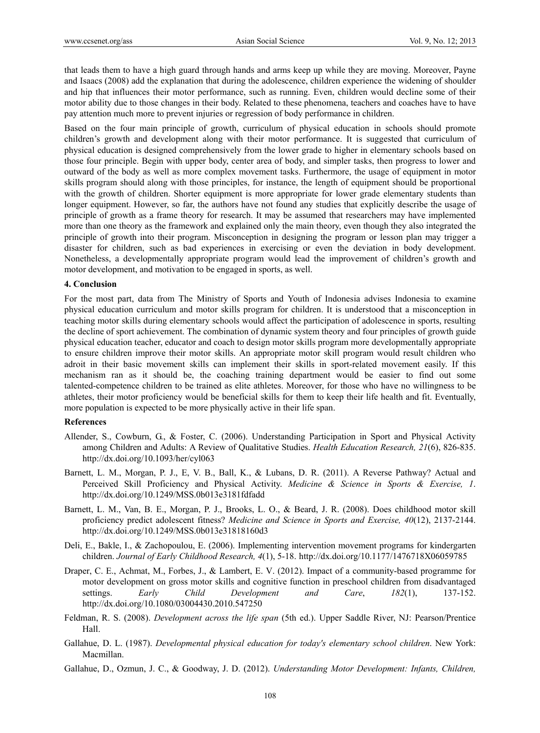that leads them to have a high guard through hands and arms keep up while they are moving. Moreover, Payne and Isaacs (2008) add the explanation that during the adolescence, children experience the widening of shoulder and hip that influences their motor performance, such as running. Even, children would decline some of their motor ability due to those changes in their body. Related to these phenomena, teachers and coaches have to have pay attention much more to prevent injuries or regression of body performance in children.

Based on the four main principle of growth, curriculum of physical education in schools should promote children's growth and development along with their motor performance. It is suggested that curriculum of physical education is designed comprehensively from the lower grade to higher in elementary schools based on those four principle. Begin with upper body, center area of body, and simpler tasks, then progress to lower and outward of the body as well as more complex movement tasks. Furthermore, the usage of equipment in motor skills program should along with those principles, for instance, the length of equipment should be proportional with the growth of children. Shorter equipment is more appropriate for lower grade elementary students than longer equipment. However, so far, the authors have not found any studies that explicitly describe the usage of principle of growth as a frame theory for research. It may be assumed that researchers may have implemented more than one theory as the framework and explained only the main theory, even though they also integrated the principle of growth into their program. Misconception in designing the program or lesson plan may trigger a disaster for children, such as bad experiences in exercising or even the deviation in body development. Nonetheless, a developmentally appropriate program would lead the improvement of children's growth and motor development, and motivation to be engaged in sports, as well.

## **4. Conclusion**

For the most part, data from The Ministry of Sports and Youth of Indonesia advises Indonesia to examine physical education curriculum and motor skills program for children. It is understood that a misconception in teaching motor skills during elementary schools would affect the participation of adolescence in sports, resulting the decline of sport achievement. The combination of dynamic system theory and four principles of growth guide physical education teacher, educator and coach to design motor skills program more developmentally appropriate to ensure children improve their motor skills. An appropriate motor skill program would result children who adroit in their basic movement skills can implement their skills in sport-related movement easily. If this mechanism ran as it should be, the coaching training department would be easier to find out some talented-competence children to be trained as elite athletes. Moreover, for those who have no willingness to be athletes, their motor proficiency would be beneficial skills for them to keep their life health and fit. Eventually, more population is expected to be more physically active in their life span.

## **References**

- Allender, S., Cowburn, G., & Foster, C. (2006). Understanding Participation in Sport and Physical Activity among Children and Adults: A Review of Qualitative Studies. *Health Education Research, 21*(6), 826-835. http://dx.doi.org/10.1093/her/cyl063
- Barnett, L. M., Morgan, P. J., E, V. B., Ball, K., & Lubans, D. R. (2011). A Reverse Pathway? Actual and Perceived Skill Proficiency and Physical Activity. *Medicine & Science in Sports & Exercise, 1*. http://dx.doi.org/10.1249/MSS.0b013e3181fdfadd
- Barnett, L. M., Van, B. E., Morgan, P. J., Brooks, L. O., & Beard, J. R. (2008). Does childhood motor skill proficiency predict adolescent fitness? *Medicine and Science in Sports and Exercise, 40*(12), 2137-2144. http://dx.doi.org/10.1249/MSS.0b013e31818160d3
- Deli, E., Bakle, I., & Zachopoulou, E. (2006). Implementing intervention movement programs for kindergarten children. *Journal of Early Childhood Research, 4*(1), 5-18. http://dx.doi.org/10.1177/1476718X06059785
- Draper, C. E., Achmat, M., Forbes, J., & Lambert, E. V. (2012). Impact of a community-based programme for motor development on gross motor skills and cognitive function in preschool children from disadvantaged settings. *Early Child Development and Care*, *182*(1), 137-152. http://dx.doi.org/10.1080/03004430.2010.547250
- Feldman, R. S. (2008). *Development across the life span* (5th ed.). Upper Saddle River, NJ: Pearson/Prentice Hall.
- Gallahue, D. L. (1987). *Developmental physical education for today's elementary school children*. New York: Macmillan.
- Gallahue, D., Ozmun, J. C., & Goodway, J. D. (2012). *Understanding Motor Development: Infants, Children,*